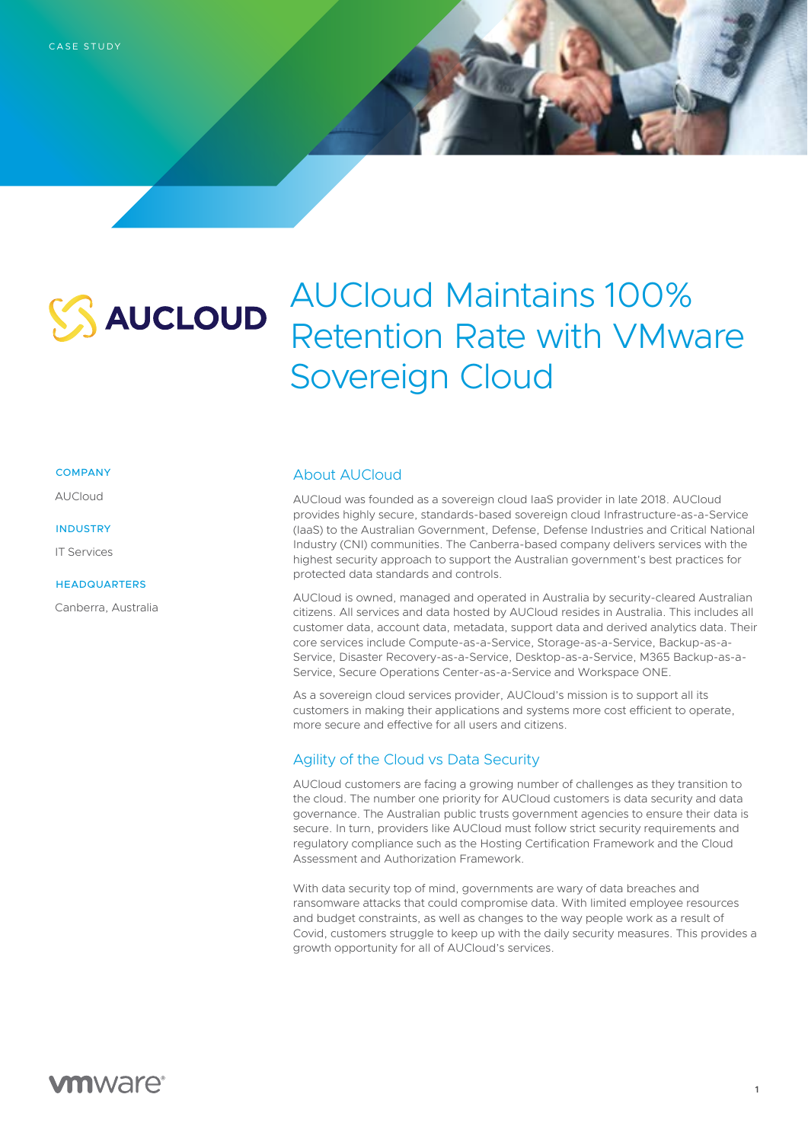

# AUCloud Maintains 100% Retention Rate with VMware Sovereign Cloud

### **COMPANY**

AUCloud

#### INDUSTRY

IT Services

### **HEADQUARTERS**

Canberra, Australia

## About AUCloud

AUCloud was founded as a sovereign cloud IaaS provider in late 2018. AUCloud provides highly secure, standards-based sovereign cloud Infrastructure-as-a-Service (IaaS) to the Australian Government, Defense, Defense Industries and Critical National Industry (CNI) communities. The Canberra-based company delivers services with the highest security approach to support the Australian government's best practices for protected data standards and controls.

AUCloud is owned, managed and operated in Australia by security-cleared Australian citizens. All services and data hosted by AUCloud resides in Australia. This includes all customer data, account data, metadata, support data and derived analytics data. Their core services include Compute-as-a-Service, Storage-as-a-Service, Backup-as-a-Service, Disaster Recovery-as-a-Service, Desktop-as-a-Service, M365 Backup-as-a-Service, Secure Operations Center-as-a-Service and Workspace ONE.

As a sovereign cloud services provider, AUCloud's mission is to support all its customers in making their applications and systems more cost efficient to operate, more secure and effective for all users and citizens.

## Agility of the Cloud vs Data Security

AUCloud customers are facing a growing number of challenges as they transition to the cloud. The number one priority for AUCloud customers is data security and data governance. The Australian public trusts government agencies to ensure their data is secure. In turn, providers like AUCloud must follow strict security requirements and regulatory compliance such as the Hosting Certification Framework and the Cloud Assessment and Authorization Framework.

With data security top of mind, governments are wary of data breaches and ransomware attacks that could compromise data. With limited employee resources and budget constraints, as well as changes to the way people work as a result of Covid, customers struggle to keep up with the daily security measures. This provides a growth opportunity for all of AUCloud's services.

## **vm**ware<sup>®</sup>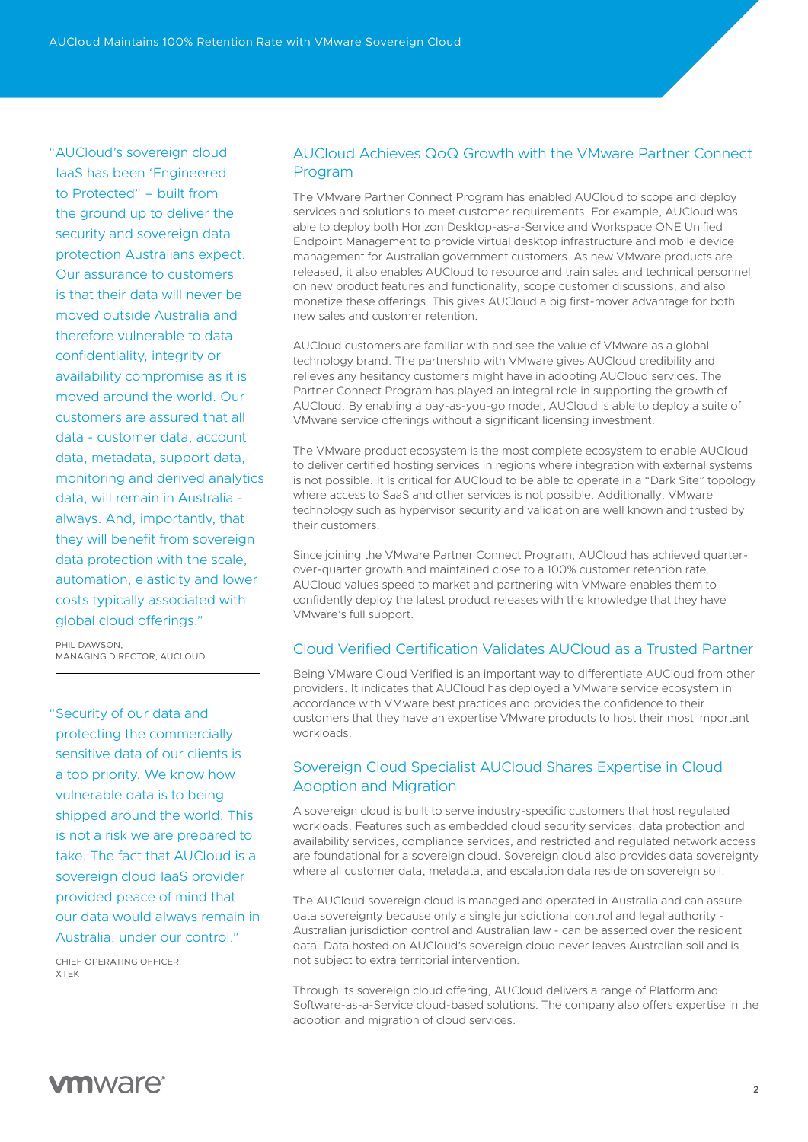"AUCloud's sovereign cloud IaaS has been 'Engineered to Protected" – built from the ground up to deliver the security and sovereign data protection Australians expect. Our assurance to customers is that their data will never be moved outside Australia and therefore vulnerable to data confidentiality, integrity or availability compromise as it is moved around the world. Our customers are assured that all data - customer data, account data, metadata, support data, monitoring and derived analytics data, will remain in Australia always. And, importantly, that they will benefit from sovereign data protection with the scale, automation, elasticity and lower costs typically associated with global cloud offerings."

PHIL DAWSON MANAGING DIRECTOR, AUCLOUD

"Security of our data and protecting the commercially sensitive data of our clients is a top priority. We know how vulnerable data is to being shipped around the world. This is not a risk we are prepared to take. The fact that AUCloud is a sovereign cloud IaaS provider provided peace of mind that our data would always remain in Australia, under our control."

CHIEF OPERATING OFFICER, XTEK

## AUCloud Achieves QoQ Growth with the VMware Partner Connect Program

The VMware Partner Connect Program has enabled AUCloud to scope and deploy services and solutions to meet customer requirements. For example, AUCloud was able to deploy both Horizon Desktop-as-a-Service and Workspace ONE Unified Endpoint Management to provide virtual desktop infrastructure and mobile device management for Australian government customers. As new VMware products are released, it also enables AUCloud to resource and train sales and technical personnel on new product features and functionality, scope customer discussions, and also monetize these offerings. This gives AUCloud a big first-mover advantage for both new sales and customer retention.

AUCloud customers are familiar with and see the value of VMware as a global technology brand. The partnership with VMware gives AUCloud credibility and relieves any hesitancy customers might have in adopting AUCloud services. The Partner Connect Program has played an integral role in supporting the growth of AUCloud. By enabling a pay-as-you-go model, AUCloud is able to deploy a suite of VMware service offerings without a significant licensing investment.

The VMware product ecosystem is the most complete ecosystem to enable AUCloud to deliver certified hosting services in regions where integration with external systems is not possible. It is critical for AUCloud to be able to operate in a "Dark Site" topology where access to SaaS and other services is not possible. Additionally, VMware technology such as hypervisor security and validation are well known and trusted by their customers.

Since joining the VMware Partner Connect Program, AUCloud has achieved quarterover-quarter growth and maintained close to a 100% customer retention rate. AUCloud values speed to market and partnering with VMware enables them to confidently deploy the latest product releases with the knowledge that they have VMware's full support.

## Cloud Verified Certification Validates AUCloud as a Trusted Partner

Being VMware Cloud Verified is an important way to differentiate AUCloud from other providers. It indicates that AUCloud has deployed a VMware service ecosystem in accordance with VMware best practices and provides the confidence to their customers that they have an expertise VMware products to host their most important workloads.

## Sovereign Cloud Specialist AUCloud Shares Expertise in Cloud Adoption and Migration

A sovereign cloud is built to serve industry-specific customers that host regulated workloads. Features such as embedded cloud security services, data protection and availability services, compliance services, and restricted and regulated network access are foundational for a sovereign cloud. Sovereign cloud also provides data sovereignty where all customer data, metadata, and escalation data reside on sovereign soil.

The AUCloud sovereign cloud is managed and operated in Australia and can assure data sovereignty because only a single jurisdictional control and legal authority - Australian jurisdiction control and Australian law - can be asserted over the resident data. Data hosted on AUCloud's sovereign cloud never leaves Australian soil and is not subject to extra territorial intervention.

Through its sovereign cloud offering, AUCloud delivers a range of Platform and Software-as-a-Service cloud-based solutions. The company also offers expertise in the adoption and migration of cloud services.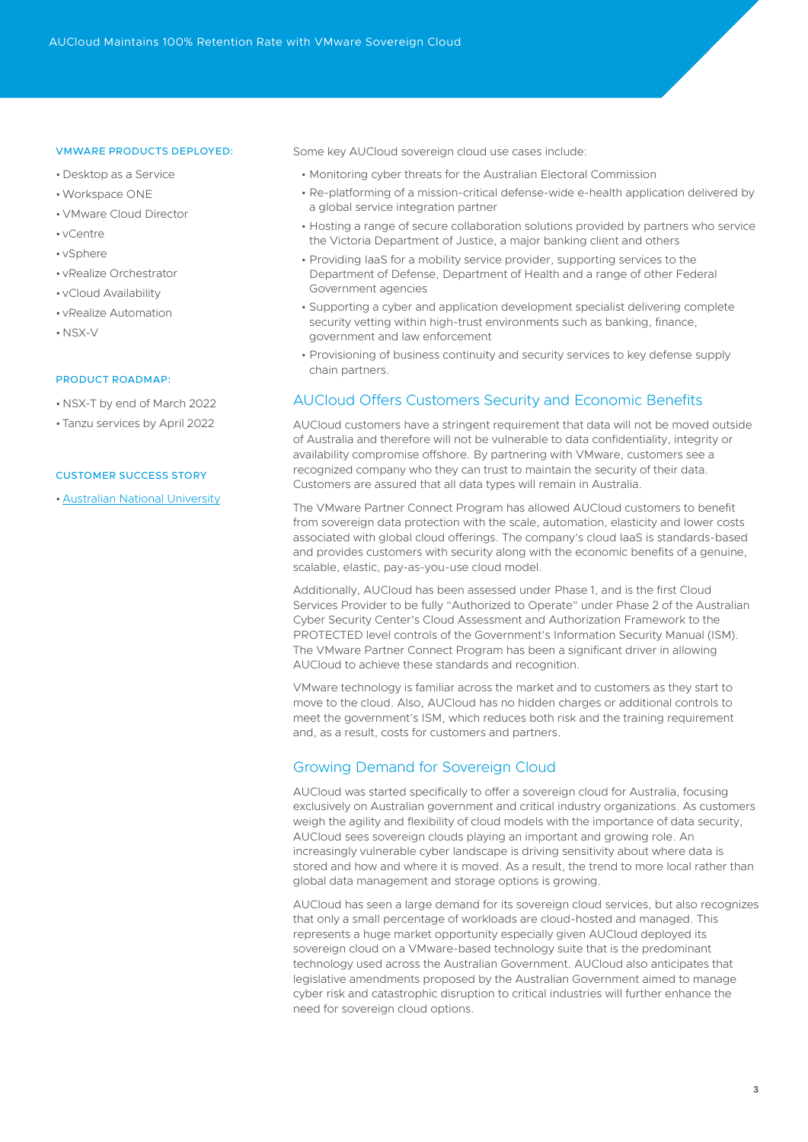## VMWARE PRODUCTS DEPLOYED:

- Desktop as a Service
- •Workspace ONE
- VMware Cloud Director
- vCentre
- vSphere
- vRealize Orchestrator
- vCloud Availability
- vRealize Automation
- NSX-V

## PRODUCT ROADMAP:

- NSX-T by end of March 2022
- Tanzu services by April 2022

#### CUSTOMER SUCCESS STORY

• [Australian National University](https://www.australiacloud.com.au/wp-content/uploads/2020/09/Case_Study_ANU_200902-2.pdf)

Some key AUCloud sovereign cloud use cases include:

- Monitoring cyber threats for the Australian Electoral Commission
- Re-platforming of a mission-critical defense-wide e-health application delivered by a global service integration partner
- Hosting a range of secure collaboration solutions provided by partners who service the Victoria Department of Justice, a major banking client and others
- Providing IaaS for a mobility service provider, supporting services to the Department of Defense, Department of Health and a range of other Federal Government agencies
- Supporting a cyber and application development specialist delivering complete security vetting within high-trust environments such as banking, finance, government and law enforcement
- Provisioning of business continuity and security services to key defense supply chain partners.

## AUCloud Offers Customers Security and Economic Benefits

AUCloud customers have a stringent requirement that data will not be moved outside of Australia and therefore will not be vulnerable to data confidentiality, integrity or availability compromise offshore. By partnering with VMware, customers see a recognized company who they can trust to maintain the security of their data. Customers are assured that all data types will remain in Australia.

The VMware Partner Connect Program has allowed AUCloud customers to benefit from sovereign data protection with the scale, automation, elasticity and lower costs associated with global cloud offerings. The company's cloud IaaS is standards-based and provides customers with security along with the economic benefits of a genuine, scalable, elastic, pay-as-you-use cloud model.

Additionally, AUCloud has been assessed under Phase 1, and is the first Cloud Services Provider to be fully "Authorized to Operate" under Phase 2 of the Australian Cyber Security Center's Cloud Assessment and Authorization Framework to the PROTECTED level controls of the Government's Information Security Manual (ISM). The VMware Partner Connect Program has been a significant driver in allowing AUCloud to achieve these standards and recognition.

VMware technology is familiar across the market and to customers as they start to move to the cloud. Also, AUCloud has no hidden charges or additional controls to meet the government's ISM, which reduces both risk and the training requirement and, as a result, costs for customers and partners.

## Growing Demand for Sovereign Cloud

AUCloud was started specifically to offer a sovereign cloud for Australia, focusing exclusively on Australian government and critical industry organizations. As customers weigh the agility and flexibility of cloud models with the importance of data security, AUCloud sees sovereign clouds playing an important and growing role. An increasingly vulnerable cyber landscape is driving sensitivity about where data is stored and how and where it is moved. As a result, the trend to more local rather than global data management and storage options is growing.

AUCloud has seen a large demand for its sovereign cloud services, but also recognizes that only a small percentage of workloads are cloud-hosted and managed. This represents a huge market opportunity especially given AUCloud deployed its sovereign cloud on a VMware-based technology suite that is the predominant technology used across the Australian Government. AUCloud also anticipates that legislative amendments proposed by the Australian Government aimed to manage cyber risk and catastrophic disruption to critical industries will further enhance the need for sovereign cloud options.